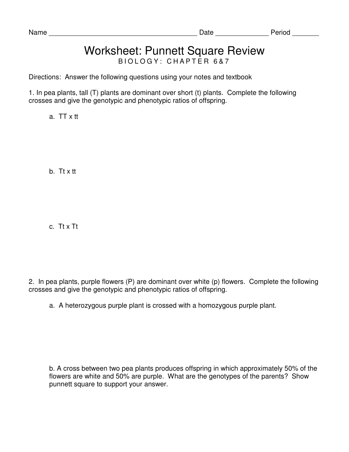## Worksheet: Punnett Square Review B I O L O G Y : C H A P T E R 6 & 7

Directions: Answer the following questions using your notes and textbook

1. In pea plants, tall (T) plants are dominant over short (t) plants. Complete the following crosses and give the genotypic and phenotypic ratios of offspring.

a. TT x tt

b. Tt x tt

c. Tt x Tt

2. In pea plants, purple flowers (P) are dominant over white (p) flowers. Complete the following crosses and give the genotypic and phenotypic ratios of offspring.

a. A heterozygous purple plant is crossed with a homozygous purple plant.

b. A cross between two pea plants produces offspring in which approximately 50% of the flowers are white and 50% are purple. What are the genotypes of the parents? Show punnett square to support your answer.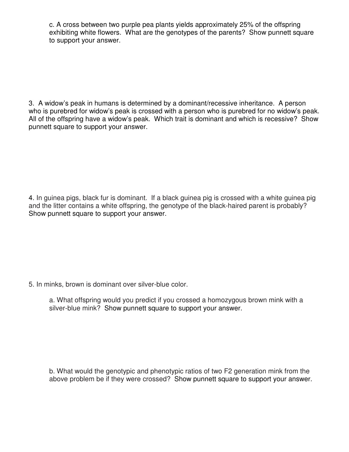c. A cross between two purple pea plants yields approximately 25% of the offspring exhibiting white flowers. What are the genotypes of the parents? Show punnett square to support your answer.

3. A widow's peak in humans is determined by a dominant/recessive inheritance. A person who is purebred for widow's peak is crossed with a person who is purebred for no widow's peak. All of the offspring have a widow's peak. Which trait is dominant and which is recessive? Show punnett square to support your answer.

4. In guinea pigs, black fur is dominant. If a black guinea pig is crossed with a white guinea pig and the litter contains a white offspring, the genotype of the black-haired parent is probably? Show punnett square to support your answer.

5. In minks, brown is dominant over silver-blue color.

a. What offspring would you predict if you crossed a homozygous brown mink with a silver-blue mink? Show punnett square to support your answer.

b. What would the genotypic and phenotypic ratios of two F2 generation mink from the above problem be if they were crossed? Show punnett square to support your answer.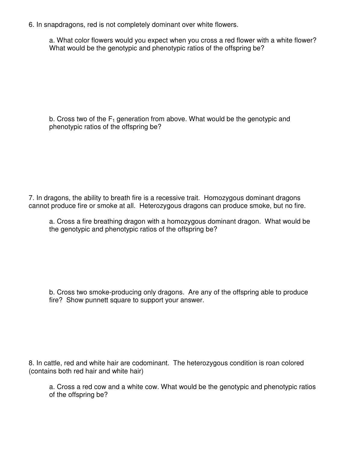6. In snapdragons, red is not completely dominant over white flowers.

a. What color flowers would you expect when you cross a red flower with a white flower? What would be the genotypic and phenotypic ratios of the offspring be?

b. Cross two of the  $F_1$  generation from above. What would be the genotypic and phenotypic ratios of the offspring be?

7. In dragons, the ability to breath fire is a recessive trait. Homozygous dominant dragons cannot produce fire or smoke at all. Heterozygous dragons can produce smoke, but no fire.

a. Cross a fire breathing dragon with a homozygous dominant dragon. What would be the genotypic and phenotypic ratios of the offspring be?

b. Cross two smoke-producing only dragons. Are any of the offspring able to produce fire? Show punnett square to support your answer.

8. In cattle, red and white hair are codominant. The heterozygous condition is roan colored (contains both red hair and white hair)

a. Cross a red cow and a white cow. What would be the genotypic and phenotypic ratios of the offspring be?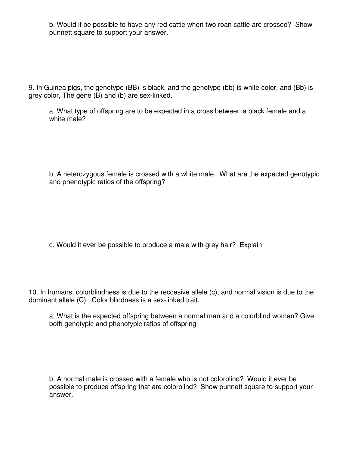b. Would it be possible to have any red cattle when two roan cattle are crossed? Show punnett square to support your answer.

9. In Guinea pigs, the genotype (BB) is black, and the genotype (bb) is white color, and (Bb) is grey color, The gene (B) and (b) are sex-linked.

a. What type of offspring are to be expected in a cross between a black female and a white male?

b. A heterozygous female is crossed with a white male. What are the expected genotypic and phenotypic ratios of the offspring?

c. Would it ever be possible to produce a male with grey hair? Explain

10. In humans, colorblindness is due to the reccesive allele (c), and normal vision is due to the dominant allele (C). Color blindness is a sex-linked trait.

a. What is the expected offspring between a normal man and a colorblind woman? Give both genotypic and phenotypic ratios of offspring

b. A normal male is crossed with a female who is not colorblind? Would it ever be possible to produce offspring that are colorblind? Show punnett square to support your answer.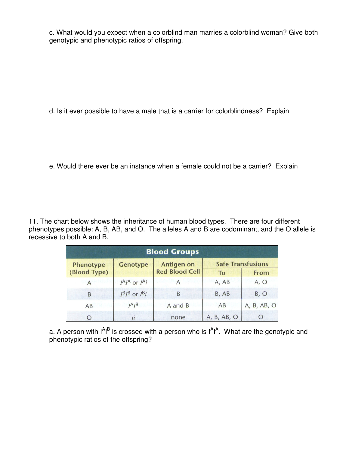c. What would you expect when a colorblind man marries a colorblind woman? Give both genotypic and phenotypic ratios of offspring.

d. Is it ever possible to have a male that is a carrier for colorblindness? Explain

e. Would there ever be an instance when a female could not be a carrier? Explain

11. The chart below shows the inheritance of human blood types. There are four different phenotypes possible: A, B, AB, and O. The alleles A and B are codominant, and the O allele is recessive to both A and B.

| <b>Blood Groups</b> |                                                     |                       |                          |             |
|---------------------|-----------------------------------------------------|-----------------------|--------------------------|-------------|
| <b>Phenotype</b>    | <b>Genotype</b>                                     | <b>Antigen on</b>     | <b>Safe Transfusions</b> |             |
| (Blood Type)        |                                                     | <b>Red Blood Cell</b> | <b>To</b>                | From        |
|                     | $I^AI^A$ or $I^A$ <i>i</i>                          |                       | A, AB                    | A, O        |
| B                   | $I^{\mathsf{B}}I^{\mathsf{B}}$ or $I^{\mathsf{B}}i$ | B                     | B, AB                    | B, O        |
| AB                  | $I^A I^B$                                           | A and B               | AB                       | A, B, AB, O |
| O                   | $\overline{u}$                                      | none                  | A, B, AB, O              | $\circ$     |

a. A person with  $1^A1^B$  is crossed with a person who is  $1^A1^A$ . What are the genotypic and phenotypic ratios of the offspring?